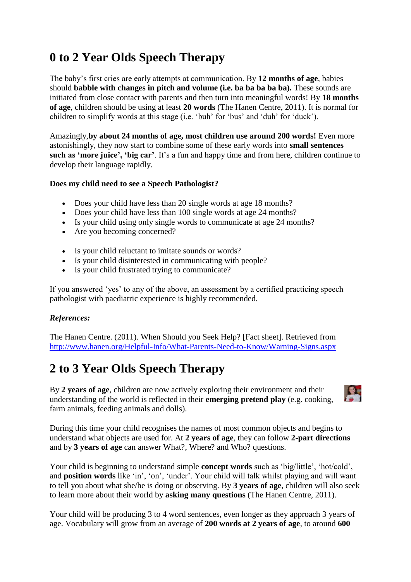# **0 to 2 Year Olds Speech Therapy**

The baby's first cries are early attempts at communication. By **12 months of age**, babies should **babble with changes in pitch and volume (i.e. ba ba ba ba ba).** These sounds are initiated from close contact with parents and then turn into meaningful words! By **18 months of age**, children should be using at least **20 words** (The Hanen Centre, 2011). It is normal for children to simplify words at this stage (i.e. 'buh' for 'bus' and 'duh' for 'duck').

Amazingly,**by about 24 months of age, most children use around 200 words!** Even more astonishingly, they now start to combine some of these early words into **small sentences such as 'more juice', 'big car'**. It's a fun and happy time and from here, children continue to develop their language rapidly.

#### **Does my child need to see a Speech Pathologist?**

- Does your child have less than 20 single words at age 18 months?
- Does your child have less than 100 single words at age 24 months?
- Is your child using only single words to communicate at age 24 months?
- Are you becoming concerned?
- Is your child reluctant to imitate sounds or words?
- Is your child disinterested in communicating with people?
- Is your child frustrated trying to communicate?

If you answered 'yes' to any of the above, an assessment by a certified practicing speech pathologist with paediatric experience is highly recommended.

### *References:*

The Hanen Centre. (2011). When Should you Seek Help? [Fact sheet]. Retrieved from <http://www.hanen.org/Helpful-Info/What-Parents-Need-to-Know/Warning-Signs.aspx>

## **2 to 3 Year Olds Speech Therapy**

By **2 years of age**, children are now actively exploring their environment and their understanding of the world is reflected in their **emerging pretend play** (e.g. cooking, farm animals, feeding animals and dolls).



During this time your child recognises the names of most common objects and begins to understand what objects are used for. At **2 years of age**, they can follow **2-part directions** and by **3 years of age** can answer What?, Where? and Who? questions.

Your child is beginning to understand simple **concept words** such as 'big/little', 'hot/cold', and **position words** like 'in', 'on', 'under'. Your child will talk whilst playing and will want to tell you about what she/he is doing or observing. By **3 years of age**, children will also seek to learn more about their world by **asking many questions** (The Hanen Centre, 2011).

Your child will be producing 3 to 4 word sentences, even longer as they approach 3 years of age. Vocabulary will grow from an average of **200 words at 2 years of age**, to around **600**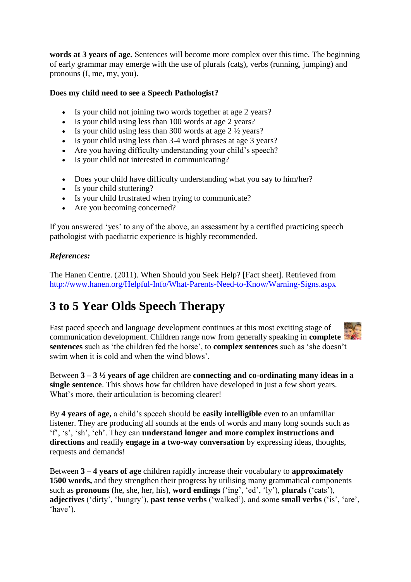**words at 3 years of age.** Sentences will become more complex over this time. The beginning of early grammar may emerge with the use of plurals (cats), verbs (running, jumping) and pronouns (I, me, my, you).

#### **Does my child need to see a Speech Pathologist?**

- Is your child not joining two words together at age 2 years?
- Is your child using less than 100 words at age 2 years?
- Is your child using less than 300 words at age  $2\frac{1}{2}$  years?
- Is your child using less than 3-4 word phrases at age 3 years?
- Are you having difficulty understanding your child's speech?
- Is your child not interested in communicating?
- Does your child have difficulty understanding what you say to him/her?
- Is your child stuttering?
- Is your child frustrated when trying to communicate?
- Are you becoming concerned?

If you answered 'yes' to any of the above, an assessment by a certified practicing speech pathologist with paediatric experience is highly recommended.

#### *References:*

The Hanen Centre. (2011). When Should you Seek Help? [Fact sheet]. Retrieved from <http://www.hanen.org/Helpful-Info/What-Parents-Need-to-Know/Warning-Signs.aspx>

## **3 to 5 Year Olds Speech Therapy**

Fast paced speech and language development continues at this most exciting stage of communication development. Children range now from generally speaking in **complete sentences** such as 'the children fed the horse', to **complex sentences** such as 'she doesn't swim when it is cold and when the wind blows'.

Between **3 – 3 ½ years of age** children are **connecting and co-ordinating many ideas in a single sentence**. This shows how far children have developed in just a few short years. What's more, their articulation is becoming clearer!

By **4 years of age,** a child's speech should be **easily intelligible** even to an unfamiliar listener. They are producing all sounds at the ends of words and many long sounds such as 'f', 's', 'sh', 'ch'. They can **understand longer and more complex instructions and directions** and readily **engage in a two-way conversation** by expressing ideas, thoughts, requests and demands!

Between **3 – 4 years of age** children rapidly increase their vocabulary to **approximately 1500 words,** and they strengthen their progress by utilising many grammatical components such as **pronouns** (he, she, her, his), **word endings** ('ing', 'ed', 'ly'), **plurals** ('cats'), **adjectives** ('dirty', 'hungry'), **past tense verbs** ('walked'), and some **small verbs** ('is', 'are', 'have').